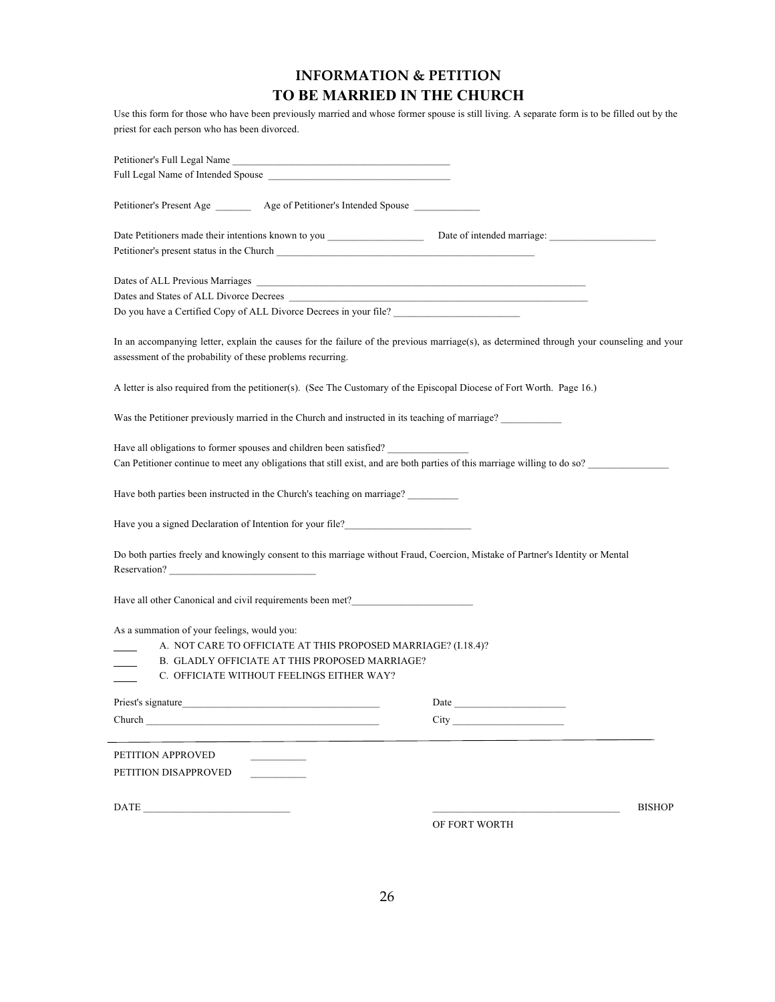# **INFORMATION & PETITION TO BE MARRIED IN THE CHURCH**

Use this form for those who have been previously married and whose former spouse is still living. A separate form is to be filled out by the priest for each person who has been divorced.

| Petitioner's Full Legal Name                                                                                                                                                                            |                                                                                                                                                                                                                                |
|---------------------------------------------------------------------------------------------------------------------------------------------------------------------------------------------------------|--------------------------------------------------------------------------------------------------------------------------------------------------------------------------------------------------------------------------------|
|                                                                                                                                                                                                         |                                                                                                                                                                                                                                |
| Petitioner's Present Age __________ Age of Petitioner's Intended Spouse _________                                                                                                                       |                                                                                                                                                                                                                                |
|                                                                                                                                                                                                         |                                                                                                                                                                                                                                |
|                                                                                                                                                                                                         |                                                                                                                                                                                                                                |
|                                                                                                                                                                                                         |                                                                                                                                                                                                                                |
| Do you have a Certified Copy of ALL Divorce Decrees in your file?                                                                                                                                       |                                                                                                                                                                                                                                |
| In an accompanying letter, explain the causes for the failure of the previous marriage(s), as determined through your counseling and your<br>assessment of the probability of these problems recurring. |                                                                                                                                                                                                                                |
| A letter is also required from the petitioner(s). (See The Customary of the Episcopal Diocese of Fort Worth. Page 16.)                                                                                  |                                                                                                                                                                                                                                |
| Was the Petitioner previously married in the Church and instructed in its teaching of marriage?                                                                                                         |                                                                                                                                                                                                                                |
| Have all obligations to former spouses and children been satisfied?<br>Can Petitioner continue to meet any obligations that still exist, and are both parties of this marriage willing to do so?        |                                                                                                                                                                                                                                |
| Have both parties been instructed in the Church's teaching on marriage?                                                                                                                                 |                                                                                                                                                                                                                                |
| Have you a signed Declaration of Intention for your file?_______________________                                                                                                                        |                                                                                                                                                                                                                                |
| Do both parties freely and knowingly consent to this marriage without Fraud, Coercion, Mistake of Partner's Identity or Mental<br>Reservation?                                                          |                                                                                                                                                                                                                                |
| Have all other Canonical and civil requirements been met?_______________________                                                                                                                        |                                                                                                                                                                                                                                |
| As a summation of your feelings, would you:                                                                                                                                                             |                                                                                                                                                                                                                                |
| A. NOT CARE TO OFFICIATE AT THIS PROPOSED MARRIAGE? (I.18.4)?                                                                                                                                           |                                                                                                                                                                                                                                |
| B. GLADLY OFFICIATE AT THIS PROPOSED MARRIAGE?                                                                                                                                                          |                                                                                                                                                                                                                                |
| C. OFFICIATE WITHOUT FEELINGS EITHER WAY?                                                                                                                                                               |                                                                                                                                                                                                                                |
| Priest's signature                                                                                                                                                                                      |                                                                                                                                                                                                                                |
| Church                                                                                                                                                                                                  | City the contract of the contract of the contract of the contract of the contract of the contract of the contract of the contract of the contract of the contract of the contract of the contract of the contract of the contr |
| PETITION APPROVED                                                                                                                                                                                       |                                                                                                                                                                                                                                |
| PETITION DISAPPROVED                                                                                                                                                                                    |                                                                                                                                                                                                                                |
|                                                                                                                                                                                                         |                                                                                                                                                                                                                                |
| $\begin{tabular}{ c c c } \hline \multicolumn{3}{ c }{\textbf{DATE}} & \multicolumn{3}{ c }{\textbf{DATE}} \\ \hline \end{tabular}$                                                                     | <b>BISHOP</b>                                                                                                                                                                                                                  |
|                                                                                                                                                                                                         | OF FORT WORTH                                                                                                                                                                                                                  |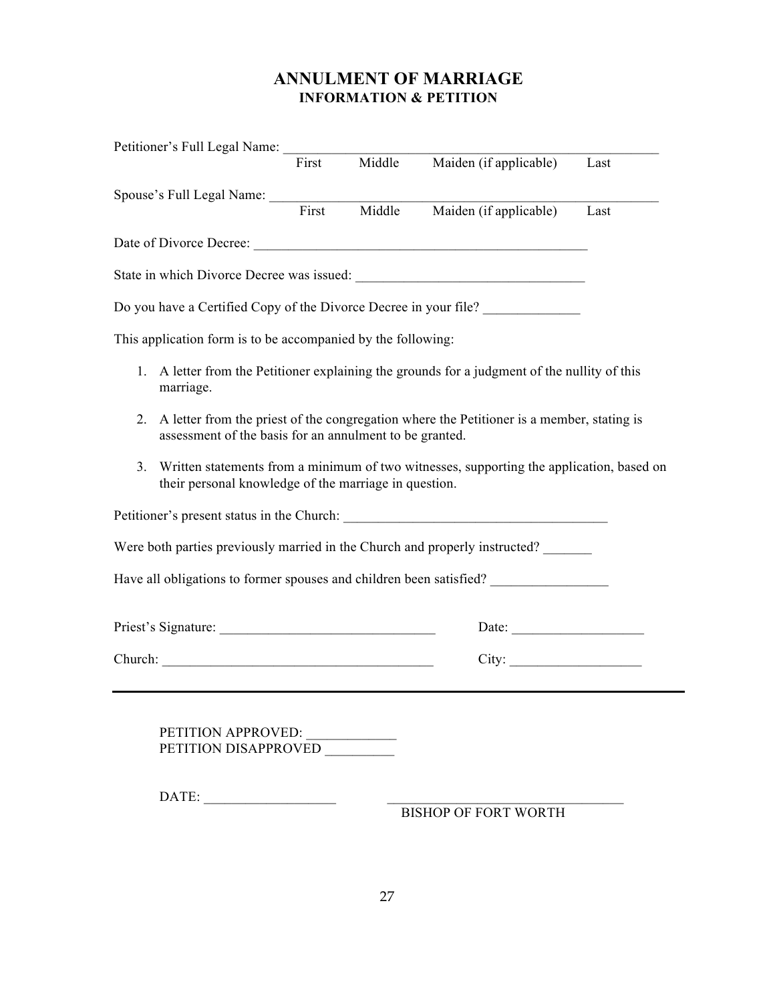# **ANNULMENT OF MARRIAGE INFORMATION & PETITION**

|                                                              |                                                         | Petitioner's Full Legal Name:<br>First | Middle | Maiden (if applicable)                                                                       | Last |
|--------------------------------------------------------------|---------------------------------------------------------|----------------------------------------|--------|----------------------------------------------------------------------------------------------|------|
|                                                              | Spouse's Full Legal Name: First Middle                  |                                        |        |                                                                                              |      |
|                                                              |                                                         |                                        | Middle | Maiden (if applicable)                                                                       | Last |
|                                                              |                                                         |                                        |        |                                                                                              |      |
|                                                              |                                                         |                                        |        |                                                                                              |      |
|                                                              |                                                         |                                        |        | Do you have a Certified Copy of the Divorce Decree in your file?                             |      |
| This application form is to be accompanied by the following: |                                                         |                                        |        |                                                                                              |      |
| marriage.                                                    |                                                         |                                        |        | 1. A letter from the Petitioner explaining the grounds for a judgment of the nullity of this |      |
| 2.                                                           | assessment of the basis for an annulment to be granted. |                                        |        | A letter from the priest of the congregation where the Petitioner is a member, stating is    |      |
| 3.                                                           | their personal knowledge of the marriage in question.   |                                        |        | Written statements from a minimum of two witnesses, supporting the application, based on     |      |
|                                                              |                                                         |                                        |        |                                                                                              |      |
|                                                              |                                                         |                                        |        | Were both parties previously married in the Church and properly instructed?                  |      |
|                                                              |                                                         |                                        |        | Have all obligations to former spouses and children been satisfied? _____________            |      |
|                                                              |                                                         |                                        |        | Date:                                                                                        |      |
|                                                              |                                                         |                                        |        | City:                                                                                        |      |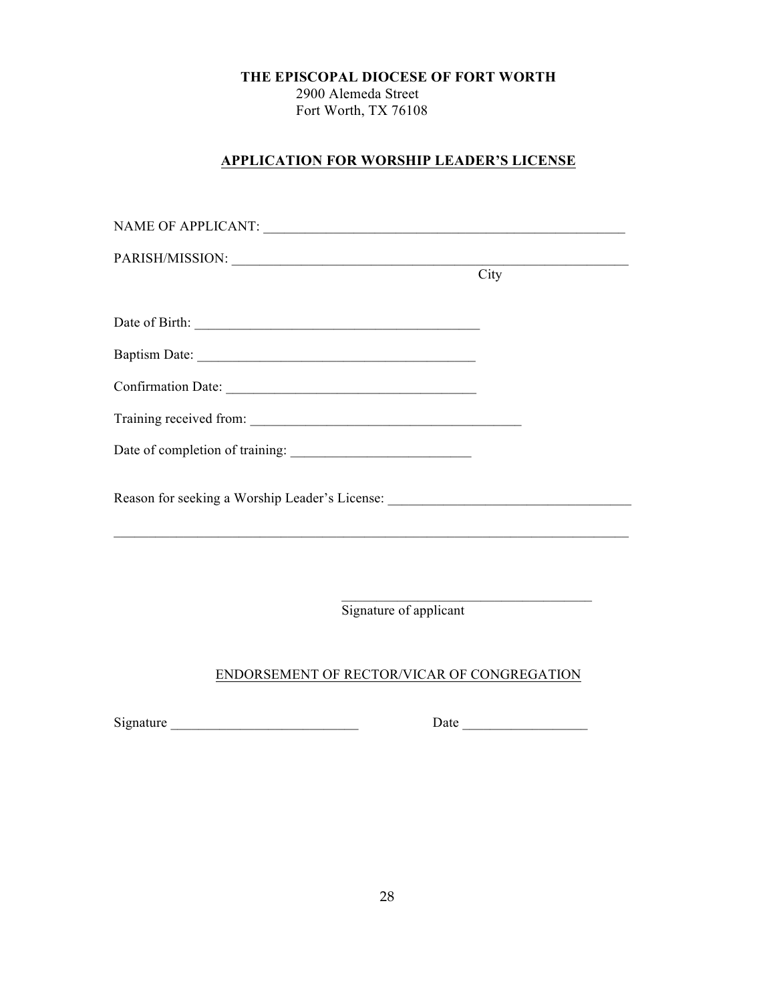2900 Alemeda Street Fort Worth, TX 76108

## **APPLICATION FOR WORSHIP LEADER'S LICENSE**

|                                                                                                                       | City |
|-----------------------------------------------------------------------------------------------------------------------|------|
|                                                                                                                       |      |
|                                                                                                                       |      |
|                                                                                                                       |      |
|                                                                                                                       |      |
|                                                                                                                       |      |
|                                                                                                                       |      |
| Reason for seeking a Worship Leader's License: __________________________________                                     |      |
| <u> 1989 - Johann Stoff, amerikan bestein besteht aus dem Berlin besteht aus dem Berlin besteht aus dem Berlin be</u> |      |
|                                                                                                                       |      |
| Signature of applicant                                                                                                |      |
| ENDORSEMENT OF RECTOR/VICAR OF CONGREGATION                                                                           |      |

Signature \_\_\_\_\_\_\_\_\_\_\_\_\_\_\_\_\_\_\_\_\_\_\_\_\_\_\_ Date \_\_\_\_\_\_\_\_\_\_\_\_\_\_\_\_\_\_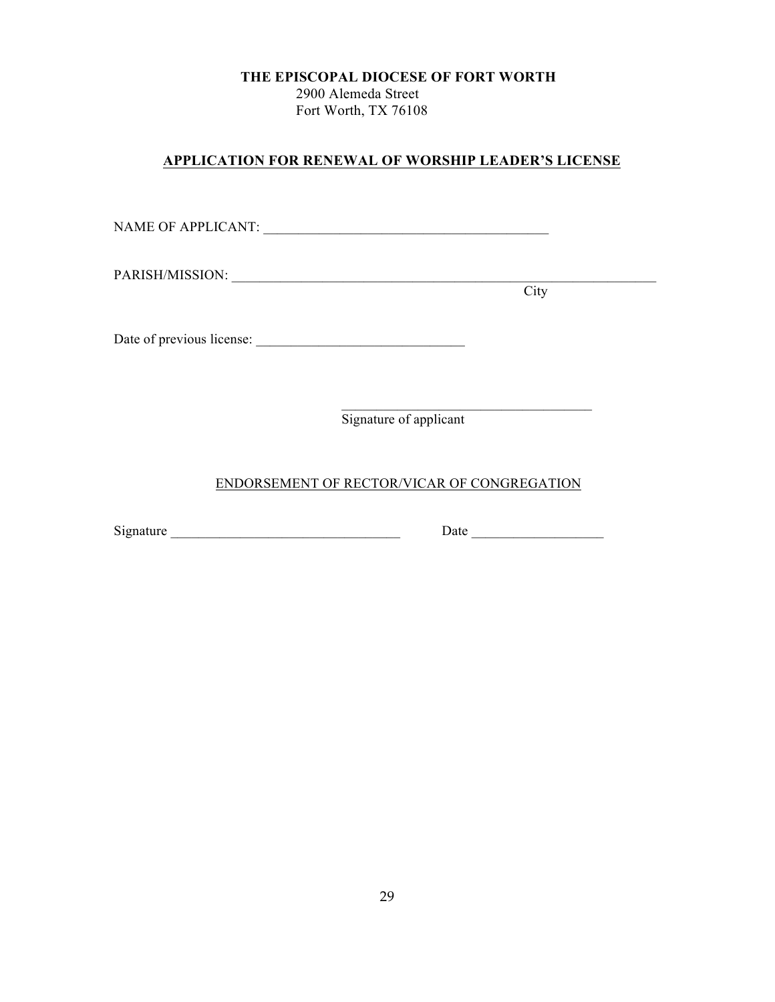2900 Alemeda Street Fort Worth, TX 76108

## **APPLICATION FOR RENEWAL OF WORSHIP LEADER'S LICENSE**

NAME OF APPLICANT: \_\_\_\_\_\_\_\_\_\_\_\_\_\_\_\_\_\_\_\_\_\_\_\_\_\_\_\_\_\_\_\_\_\_\_\_\_\_\_\_\_

PARISH/MISSION: \_\_\_\_\_\_\_\_\_\_\_\_\_\_\_\_\_\_\_\_\_\_\_\_\_\_\_\_\_\_\_\_\_\_\_\_\_\_\_\_\_\_\_\_\_\_\_\_\_\_\_\_\_\_\_\_\_\_\_\_\_

**City** 

Date of previous license: \_\_\_\_\_\_\_\_\_\_\_\_\_\_\_\_\_\_\_\_\_\_\_\_\_\_\_\_\_\_

 $\mathcal{L}_\text{max} = \mathcal{L}_\text{max} = \mathcal{L}_\text{max} = \mathcal{L}_\text{max} = \mathcal{L}_\text{max}$ Signature of applicant

## ENDORSEMENT OF RECTOR/VICAR OF CONGREGATION

 $Signature$   $Date$   $Date$   $Date$   $Date$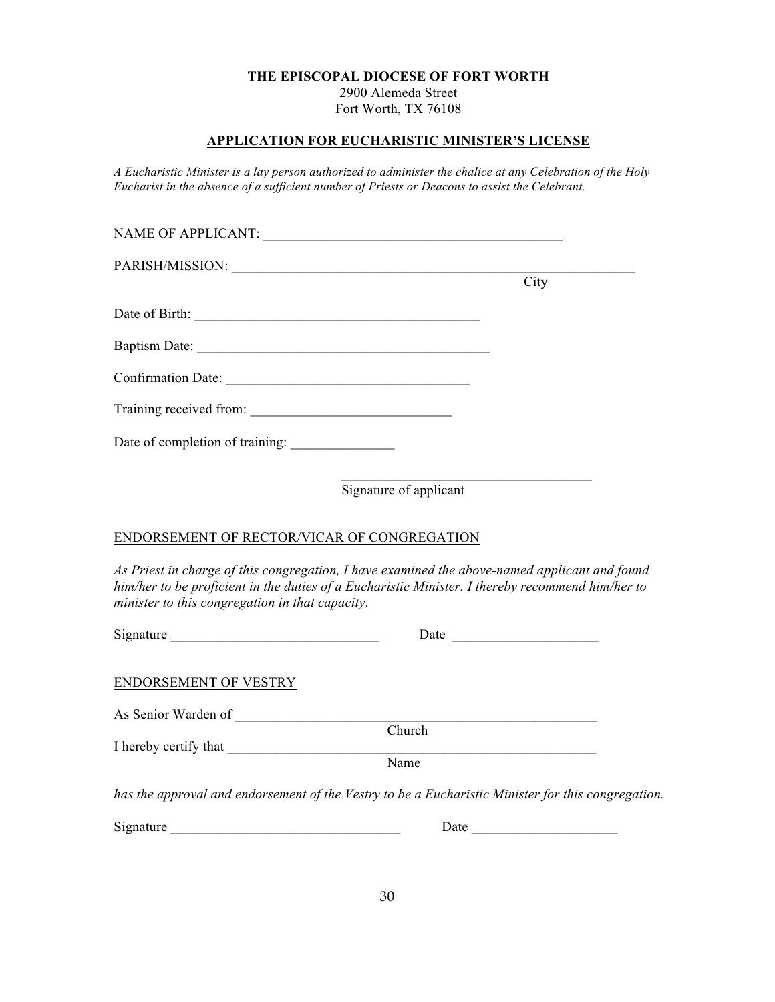2900 Alemeda Street Fort Worth, TX 76108

## **APPLICATION FOR EUCHARISTIC MINISTER'S LICENSE**

*A Eucharistic Minister is a lay person authorized to administer the chalice at any Celebration of the Holy Eucharist in the absence of a sufficient number of Priests or Deacons to assist the Celebrant.*

|                                                 | City                                                                                                                                                                                              |
|-------------------------------------------------|---------------------------------------------------------------------------------------------------------------------------------------------------------------------------------------------------|
|                                                 |                                                                                                                                                                                                   |
|                                                 |                                                                                                                                                                                                   |
|                                                 |                                                                                                                                                                                                   |
|                                                 |                                                                                                                                                                                                   |
|                                                 |                                                                                                                                                                                                   |
|                                                 | Signature of applicant                                                                                                                                                                            |
| ENDORSEMENT OF RECTOR/VICAR OF CONGREGATION     |                                                                                                                                                                                                   |
| minister to this congregation in that capacity. | As Priest in charge of this congregation, I have examined the above-named applicant and found<br>him/her to be proficient in the duties of a Eucharistic Minister. I thereby recommend him/her to |
|                                                 |                                                                                                                                                                                                   |
| ENDORSEMENT OF VESTRY                           |                                                                                                                                                                                                   |
|                                                 | $\overline{\text{Church}}$                                                                                                                                                                        |
|                                                 |                                                                                                                                                                                                   |
|                                                 | Name                                                                                                                                                                                              |

*has the approval and endorsement of the Vestry to be a Eucharistic Minister for this congregation.*

| $\sim$<br>nature<br>S12 | Jate |
|-------------------------|------|
|-------------------------|------|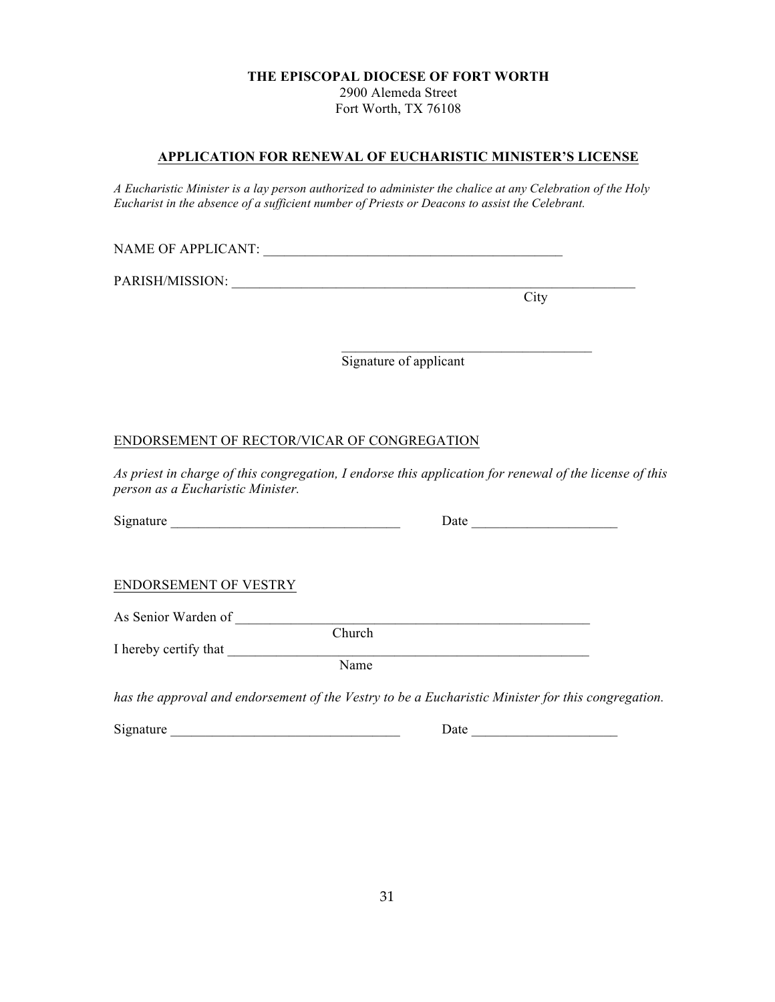2900 Alemeda Street Fort Worth, TX 76108

## **APPLICATION FOR RENEWAL OF EUCHARISTIC MINISTER'S LICENSE**

*A Eucharistic Minister is a lay person authorized to administer the chalice at any Celebration of the Holy Eucharist in the absence of a sufficient number of Priests or Deacons to assist the Celebrant.*

NAME OF APPLICANT:

PARISH/MISSION:

**City** 

Signature of applicant

 $\mathcal{L}_\text{max} = \mathcal{L}_\text{max} = \mathcal{L}_\text{max} = \mathcal{L}_\text{max} = \mathcal{L}_\text{max}$ 

## ENDORSEMENT OF RECTOR/VICAR OF CONGREGATION

*As priest in charge of this congregation, I endorse this application for renewal of the license of this person as a Eucharistic Minister.*

| Signature | Date |
|-----------|------|
|           |      |

| Date |
|------|
|------|

### ENDORSEMENT OF VESTRY

As Senior Warden of Quarter of  $\overline{a}$ 

I hereby certify that

Church

Name

*has the approval and endorsement of the Vestry to be a Eucharistic Minister for this congregation.*

Signature Date Date  $\Box$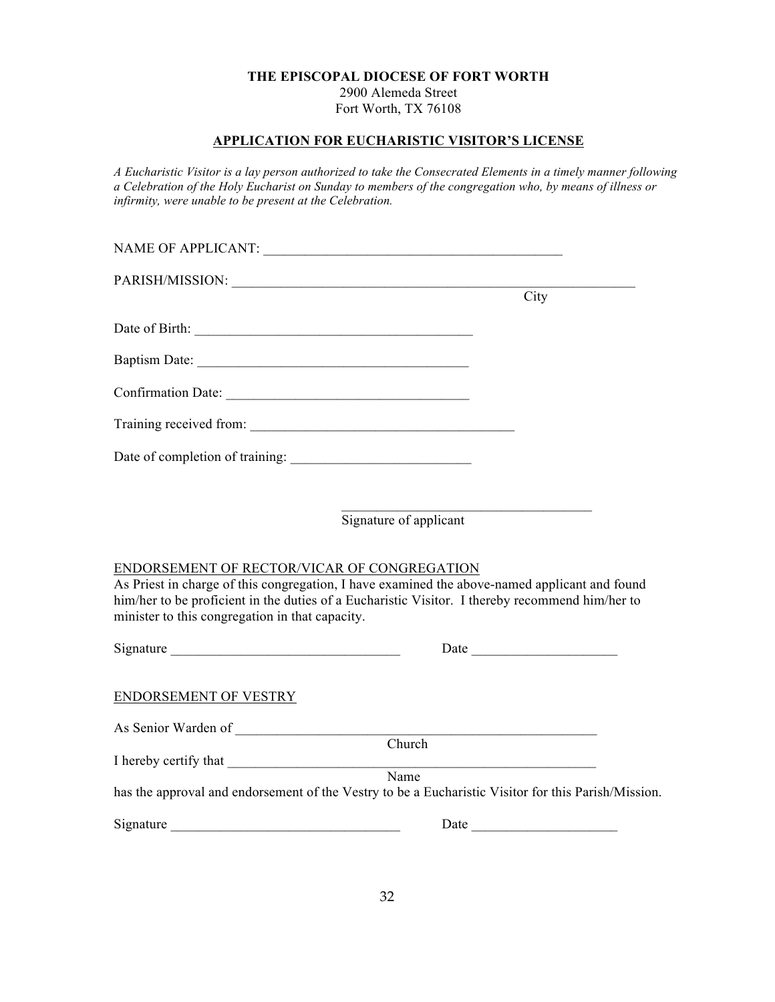2900 Alemeda Street Fort Worth, TX 76108

## **APPLICATION FOR EUCHARISTIC VISITOR'S LICENSE**

*A Eucharistic Visitor is a lay person authorized to take the Consecrated Elements in a timely manner following a Celebration of the Holy Eucharist on Sunday to members of the congregation who, by means of illness or infirmity, were unable to be present at the Celebration.*

|                                                                                                                                                                                                                                                                                                    | City |
|----------------------------------------------------------------------------------------------------------------------------------------------------------------------------------------------------------------------------------------------------------------------------------------------------|------|
|                                                                                                                                                                                                                                                                                                    |      |
|                                                                                                                                                                                                                                                                                                    |      |
|                                                                                                                                                                                                                                                                                                    |      |
|                                                                                                                                                                                                                                                                                                    |      |
|                                                                                                                                                                                                                                                                                                    |      |
|                                                                                                                                                                                                                                                                                                    |      |
| Signature of applicant                                                                                                                                                                                                                                                                             |      |
| ENDORSEMENT OF RECTOR/VICAR OF CONGREGATION<br>As Priest in charge of this congregation, I have examined the above-named applicant and found<br>him/her to be proficient in the duties of a Eucharistic Visitor. I thereby recommend him/her to<br>minister to this congregation in that capacity. |      |
|                                                                                                                                                                                                                                                                                                    |      |
| ENDORSEMENT OF VESTRY                                                                                                                                                                                                                                                                              |      |
|                                                                                                                                                                                                                                                                                                    |      |
| Church                                                                                                                                                                                                                                                                                             |      |
| Name<br>has the approval and endorsement of the Vestry to be a Eucharistic Visitor for this Parish/Mission.                                                                                                                                                                                        |      |
|                                                                                                                                                                                                                                                                                                    | Date |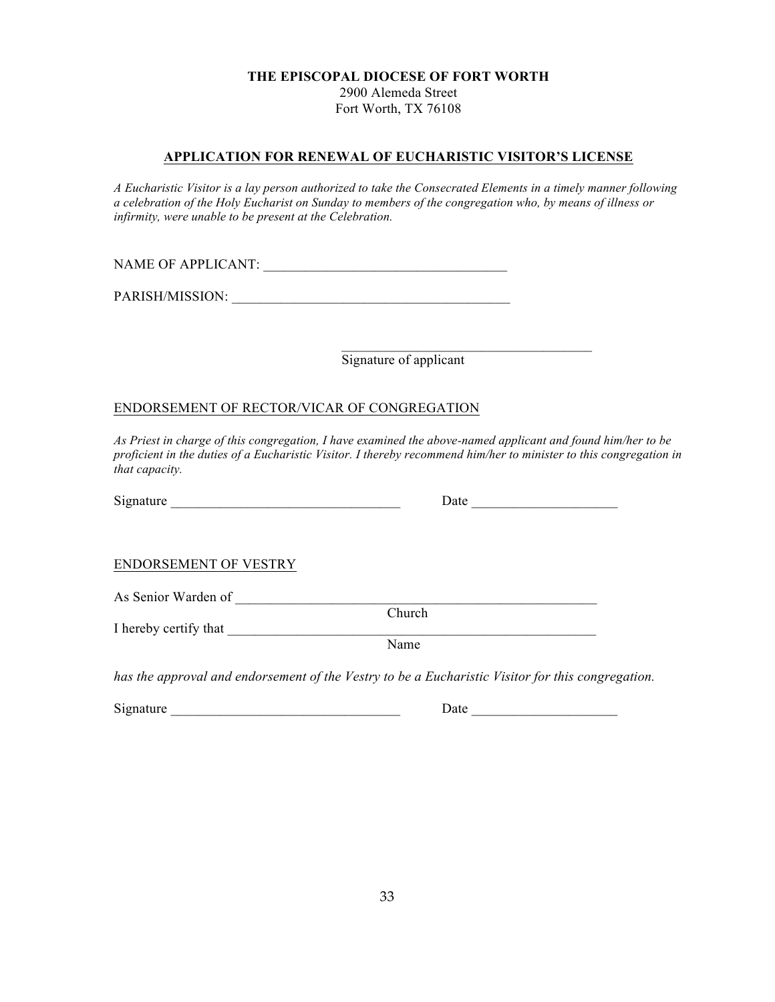2900 Alemeda Street Fort Worth, TX 76108

## **APPLICATION FOR RENEWAL OF EUCHARISTIC VISITOR'S LICENSE**

*A Eucharistic Visitor is a lay person authorized to take the Consecrated Elements in a timely manner following a celebration of the Holy Eucharist on Sunday to members of the congregation who, by means of illness or infirmity, were unable to be present at the Celebration.*

NAME OF APPLICANT:

PARISH/MISSION: \_\_\_\_\_\_\_\_\_\_\_\_\_\_\_\_\_\_\_\_\_\_\_\_\_\_\_\_\_\_\_\_\_\_\_\_\_\_\_\_

Signature of applicant

### ENDORSEMENT OF RECTOR/VICAR OF CONGREGATION

As Priest in charge of this congregation, I have examined the above-named applicant and found him/her to be *proficient in the duties of a Eucharistic Visitor. I thereby recommend him/her to minister to this congregation in that capacity.*

| Signature | Jate |  |
|-----------|------|--|
|           |      |  |

| Date |  |  |
|------|--|--|
|      |  |  |

### ENDORSEMENT OF VESTRY

As Senior Warden of \_\_\_\_\_\_\_\_\_\_\_\_\_\_\_\_\_\_\_\_\_\_\_\_\_\_\_\_\_\_\_\_\_\_\_\_\_\_\_\_\_\_\_\_\_\_\_\_\_\_\_\_ Church I hereby certify that

Name

*has the approval and endorsement of the Vestry to be a Eucharistic Visitor for this congregation.*

Signature \_\_\_\_\_\_\_\_\_\_\_\_\_\_\_\_\_\_\_\_\_\_\_\_\_\_\_\_\_\_\_\_\_ Date \_\_\_\_\_\_\_\_\_\_\_\_\_\_\_\_\_\_\_\_\_